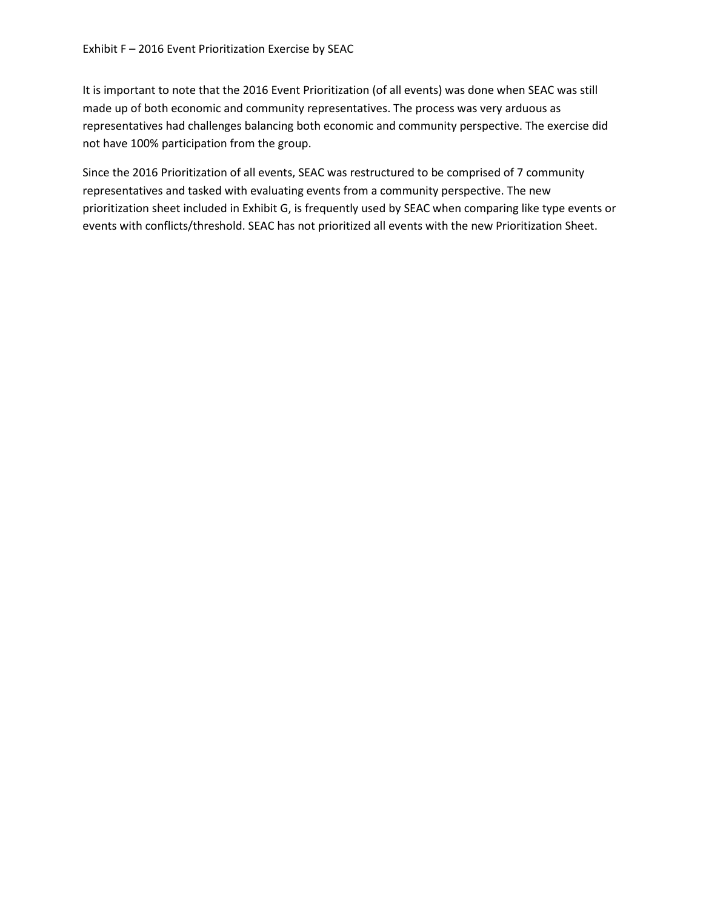It is important to note that the 2016 Event Prioritization (of all events) was done when SEAC was still made up of both economic and community representatives. The process was very arduous as representatives had challenges balancing both economic and community perspective. The exercise did not have 100% participation from the group.

Since the 2016 Prioritization of all events, SEAC was restructured to be comprised of 7 community representatives and tasked with evaluating events from a community perspective. The new prioritization sheet included in Exhibit G, is frequently used by SEAC when comparing like type events or events with conflicts/threshold. SEAC has not prioritized all events with the new Prioritization Sheet.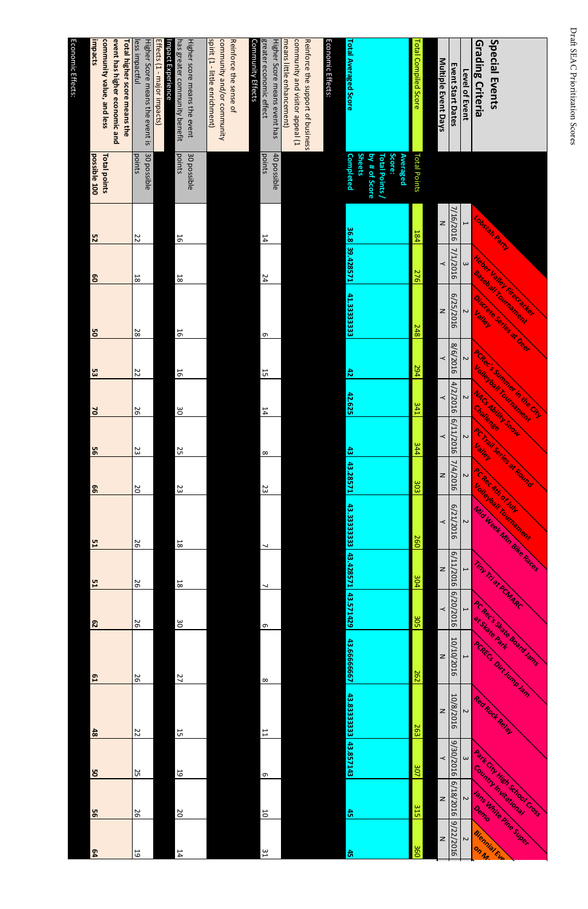| impacts<br>community value, and less<br>event has higher economic and<br>Total higher score means the | Higher Score means the event is<br>Effects (1 - major impacts)<br>less impactful<br>Impact Experience | Higher score means the event<br>has greater community benefit | spirit (1 - little enrichment)<br>community and/or community<br>Reinforce the sense of | Higher Score means event has<br>Community Effects<br>greater economic effect | Reinforce the support of business<br>means little enhancement)<br>community and visitor appeal (1 | Economic Effects:<br><b>Total Averaged Score</b> |                                                             | <b>Total Compiled Score</b> | Multiple Event Days | <b>Event Start Dates</b><br>Level of Event | <b>Special Events</b><br>Grading Criteria                              |
|-------------------------------------------------------------------------------------------------------|-------------------------------------------------------------------------------------------------------|---------------------------------------------------------------|----------------------------------------------------------------------------------------|------------------------------------------------------------------------------|---------------------------------------------------------------------------------------------------|--------------------------------------------------|-------------------------------------------------------------|-----------------------------|---------------------|--------------------------------------------|------------------------------------------------------------------------|
| possible 100<br>Total points                                                                          | 30 possible<br>points                                                                                 | points<br>30 possible                                         |                                                                                        | points<br>40 possible                                                        |                                                                                                   | <b>Sheets</b><br><b>Completed</b>                | Score:<br><b>Total Points/</b><br>by # of Score<br>Averaged | <b>Total Points</b>         |                     |                                            |                                                                        |
| S2                                                                                                    | 22                                                                                                    | 16                                                            |                                                                                        | 14                                                                           |                                                                                                   | 36.8                                             |                                                             | 184                         | z                   | 7/16/2016<br>$\overline{\phantom{0}}$      | Lobstan Party                                                          |
| 80                                                                                                    | $\frac{1}{8}$                                                                                         | 18                                                            |                                                                                        | 77                                                                           |                                                                                                   | 39.428571                                        |                                                             | 276                         | ≺                   | 1/1/2016<br>$\omega$                       | Heber Valley Riceracker                                                |
| 8g                                                                                                    | 28                                                                                                    | 16                                                            |                                                                                        | თ                                                                            |                                                                                                   | 41.3333333                                       |                                                             | 248                         | z                   | 6/25/2016<br>$\sim$                        | Baseball Tournament<br>Discrete Series at Deep                         |
| ပ္ပ                                                                                                   | $\frac{2}{5}$                                                                                         | 56                                                            |                                                                                        | 55                                                                           |                                                                                                   | $\frac{4}{5}$                                    |                                                             | 294                         | $\prec$             | 8/6/2016<br>$\sim$                         |                                                                        |
| $\mathsf{d}$                                                                                          | 97                                                                                                    | 90                                                            |                                                                                        | 14                                                                           |                                                                                                   | 42.625                                           |                                                             | <b>341</b>                  | $\prec$             | 4/2/2016<br>$\sim$                         | PCRecis Summer in the City<br>Volevial Fournament<br>MACS Ability Snow |
| 95                                                                                                    | 23                                                                                                    | 25                                                            |                                                                                        | $\infty$                                                                     |                                                                                                   | $\ddot{a}$                                       |                                                             | <b>144</b>                  | ≺                   | 911/2016<br>$\sim$                         | ACTESILS OF ROUTER                                                     |
| 99                                                                                                    | <b>D</b>                                                                                              | 23                                                            |                                                                                        | 23                                                                           |                                                                                                   | 43.28571                                         |                                                             | 303                         | Z                   | 7/4/2016<br>$\sim$                         | PC Rec. Ath of July                                                    |
|                                                                                                       |                                                                                                       |                                                               |                                                                                        |                                                                              |                                                                                                   | 43.3333333                                       |                                                             | 260                         | ≺                   | 6/21/2016<br>$\sim$                        | Volevosi roundenen<br>Mid Week Min Bike Races                          |
| 51<br>51                                                                                              | 97<br>92                                                                                              | $8\,$<br>$18\,$                                               |                                                                                        | $\overline{\phantom{a}}$                                                     |                                                                                                   | 43.428571                                        |                                                             | 304                         | z                   | 6/11/2016<br>$\mapsto$                     | Tiny Tri at PCNARC                                                     |
| 29                                                                                                    | 97                                                                                                    | $\frac{8}{20}$                                                |                                                                                        | $\overline{\phantom{a}}$<br>$\sigma$                                         |                                                                                                   | 43.571429                                        |                                                             | 302                         | $\prec$             | 6/20/2016<br>$\mapsto$                     |                                                                        |
| $\mathbf{5}$                                                                                          | 92                                                                                                    | 27                                                            |                                                                                        | $\infty$                                                                     |                                                                                                   | 43.66666667                                      |                                                             | <b>262</b>                  | z                   | 10/10/2016<br>$\overline{\phantom{0}}$     | <b>ACRecis Sigle Board Jams</b><br>PCRECS Dirt Jump Am                 |
|                                                                                                       |                                                                                                       |                                                               |                                                                                        |                                                                              |                                                                                                   | $\frac{4}{3}$<br>.83333333                       |                                                             | 263                         | Z                   | 10/8/2016<br>$\sim$                        | Red Rock Relat                                                         |
| $\frac{4}{8}$<br>8g                                                                                   | ZZ<br>25                                                                                              | 55<br>5                                                       |                                                                                        | $\overline{L}$                                                               |                                                                                                   | 43.857143                                        |                                                             | 307                         | $\prec$             | 9/30/2016<br>$\omega$                      |                                                                        |
| 95                                                                                                    | 97                                                                                                    | $\overline{0}$                                                |                                                                                        | $\sigma$<br>50                                                               |                                                                                                   | 45                                               |                                                             | 315                         | $\mathbf{z}$        | 6/18/2016<br>$\sim$                        | Park City High School Coss                                             |
| 64                                                                                                    | 5                                                                                                     | 14                                                            |                                                                                        | $\frac{2}{3}$                                                                |                                                                                                   | $\ddot{5}$                                       |                                                             | 360                         | $\overline{z}$      | 9/22/2016<br>$\sim$                        | Jans White Pine Suber<br>Biennial Eur                                  |
|                                                                                                       |                                                                                                       |                                                               |                                                                                        |                                                                              |                                                                                                   |                                                  |                                                             |                             |                     |                                            |                                                                        |

| <b>FIBITEL SCOTE TILE dIIS EVEILL HAS</b>     | <b>HU possible</b>  |    |                 |    |         |              |          |    |                |                |               |  |
|-----------------------------------------------|---------------------|----|-----------------|----|---------|--------------|----------|----|----------------|----------------|---------------|--|
| greater economic effect                       | points              | 14 | 72              |    | თ<br>55 | 14           | $\infty$ | 23 |                | ┙              | თ             |  |
| <b>Community Effects</b>                      |                     |    |                 |    |         |              |          |    |                |                |               |  |
|                                               |                     |    |                 |    |         |              |          |    |                |                |               |  |
| Reinforce the sense of                        |                     |    |                 |    |         |              |          |    |                |                |               |  |
| community and/or community                    |                     |    |                 |    |         |              |          |    |                |                |               |  |
| spirit (1 - little enrichment)                |                     |    |                 |    |         |              |          |    |                |                |               |  |
|                                               |                     |    |                 |    |         |              |          |    |                |                |               |  |
| Higher score means the event                  | 30 possible         |    |                 |    |         |              |          |    |                |                |               |  |
| has greater community benefit                 | lpoints             | 56 | $\frac{18}{18}$ | 56 | 16      | $\infty$     | 52       | 23 | $\overline{8}$ | $\overline{8}$ | $\frac{8}{2}$ |  |
| Impact Experience                             |                     |    |                 |    |         |              |          |    |                |                |               |  |
| Effects (1 - major impacts)                   |                     |    |                 |    |         |              |          |    |                |                |               |  |
| Higher Score means the event is   30 possible |                     |    |                 |    |         |              |          |    |                |                |               |  |
| less impactful                                | points              | ZZ | 18              | 28 | 22      | 56           | ಜ        | 20 | 56             | 50             | 56            |  |
| Total higher score means the                  |                     |    |                 |    |         |              |          |    |                |                |               |  |
| event has higher economic and                 |                     |    |                 |    |         |              |          |    |                |                |               |  |
| community value, and less                     | <b>Total points</b> |    |                 |    |         |              |          |    |                |                |               |  |
| impacts                                       | possible 100        | 52 | 80              | g  | 53      | $\mathsf{d}$ | 95       | 99 | 51             | 51             | 52            |  |
|                                               |                     |    |                 |    |         |              |          |    |                |                |               |  |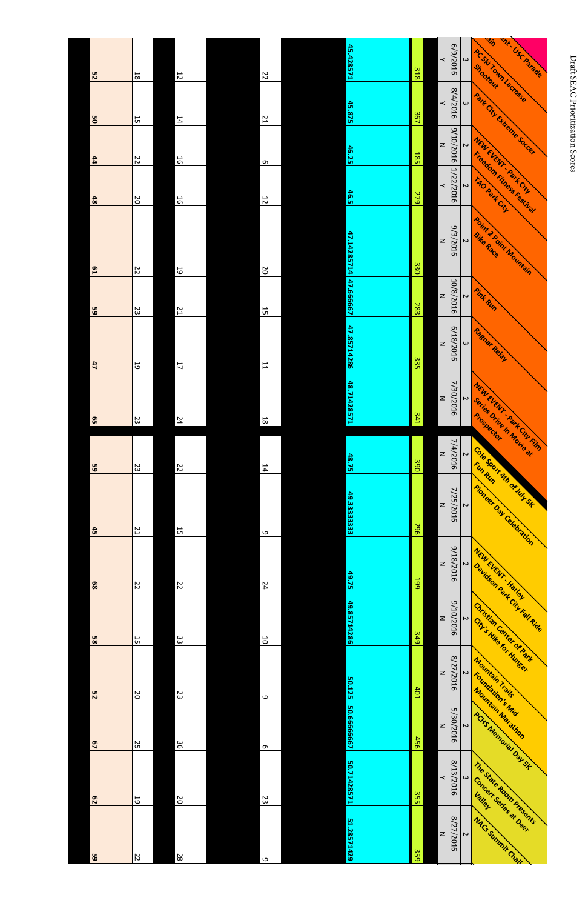| 25             | $8\,$          | 12                      | 22             | 15.428571   | 318        | $\prec$        | 6/9/2016  | $\omega$            | ain<br>PC Ski Town Lacrosse | <b>WILLUSCANAGE</b>                                         |
|----------------|----------------|-------------------------|----------------|-------------|------------|----------------|-----------|---------------------|-----------------------------|-------------------------------------------------------------|
| 8g             | 55             | 14                      | <b>Z1</b>      | 45.875      | 367        | $\prec$        | 8/4/2016  | $\omega$            |                             | Park City Extreme Societ.                                   |
| $\mathbf{44}$  | ZZ             | $\overline{5}$          | $\sigma$       | 46.25       | <b>185</b> | $\overline{z}$ | 9/10/2016 | $\boldsymbol{\sim}$ |                             | MEULEUF LANT . Park CRY                                     |
| $\frac{4}{8}$  | $\overline{0}$ | $\overline{5}$          | $\overline{5}$ | <b>46.5</b> | 62         | $\prec$        | 1/22/2016 | $\boldsymbol{\sim}$ |                             | Freedom Finess Festival                                     |
| $\mathbf{5}$   | 22             | $\overline{6}$          | <b>DZ</b>      | 47.14285714 | 330        | $\overline{z}$ | 9/3/2016  | $\sim$              |                             | <b>Point 2 Roint Mountain</b>                               |
| 59             | 23             | 12                      | 55             | 47.666667   | 283        | $\overline{z}$ | 10/8/2016 | $\sim$              | <b>Pink Run</b>             |                                                             |
| $\frac{47}{2}$ | $\overline{6}$ | $\mathsf{L}\mathsf{L}$  | $\overline{L}$ | 47.85714286 | ယ္ယ<br>Сп  | $\overline{z}$ | 6/18/2016 | $\omega$            | Raenar Relay                |                                                             |
| 65             | 23             | 24                      | $\overline{8}$ | 18.71428571 | 341        | $\overline{z}$ | 7/30/2016 | $\overline{c}$      |                             | NEW EVENT : Rank City Film                                  |
| 59             | 23             | <b>ZZ</b>               | 14             | 48.75       | 390        | $\overline{z}$ | 7/4/2016  | $\sim$              |                             | Series Drive In Movie 3t                                    |
| 45             | 12             | $\overline{\mathbf{5}}$ | $\circ$        | 49.3333333  | 296        | $\overline{z}$ | 7/25/2016 | $\sim$              |                             | Cole Sport Ath or July St<br><b>Aicheer Oak Celebration</b> |
| 89             | ZZ             | ZZ                      | 74             | 49.75       | 199        | $\overline{z}$ | 918/2016  | $\sim$              | NEW EVENT - Halley          |                                                             |
| 85             | 55             | 33                      | $\overline{0}$ | 49.85714286 | <b>949</b> | $\overline{z}$ | 9/10/2016 | $\overline{C}$      |                             | Davidson Park City Fall Ride<br>Christian Center of Park    |
|                |                |                         |                |             |            |                | $\infty$  |                     |                             |                                                             |

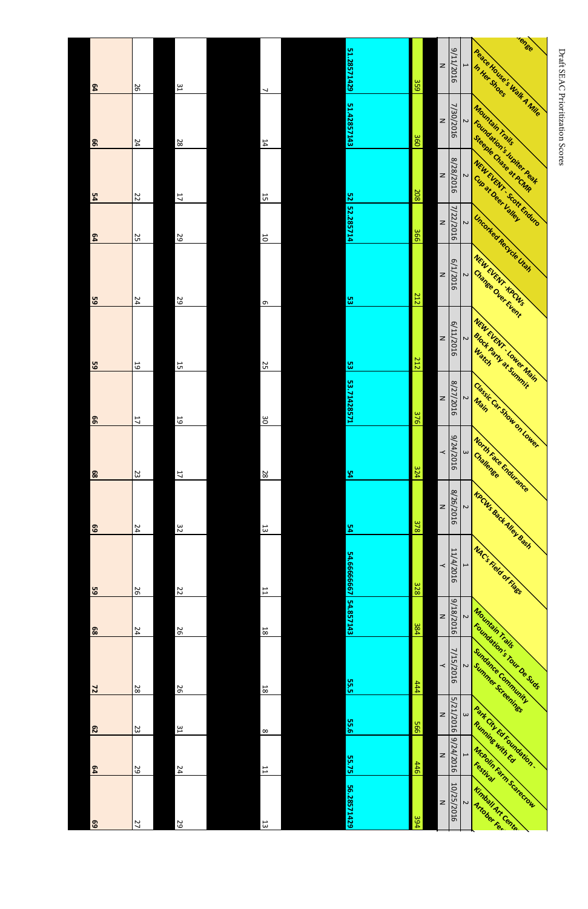| 64                 | 97             | $\frac{1}{2}$             | $\overline{\phantom{a}}$ | 51.28571429              | 359               | $\overline{z}$           | 911/2016           | <b>Tense</b><br>Peace House's Walk A Mile<br>$\overline{\phantom{0}}$                         |                                  |
|--------------------|----------------|---------------------------|--------------------------|--------------------------|-------------------|--------------------------|--------------------|-----------------------------------------------------------------------------------------------|----------------------------------|
| 99                 | 74             | 82                        | $14\,$                   | 51.42857143              | 360               | $\overline{z}$           | 7/30/2016          | Mountain Trails<br>$\overline{c}$                                                             | Draft SEAC Prioritization Scores |
| 54                 | $\overline{z}$ | 11                        | 15                       | 52                       | 208               | $\overline{z}$           | 8/28/2016          | Foundation's Juniter Real<br>Steeple Chase at PCMP<br>NEW EVENT SCON ENDING<br>$\overline{c}$ |                                  |
| 64                 | 52             | 52                        | $\overline{\mathsf{C}}$  | 52.285714                | 366               | $\overline{z}$           | 7/22/2016          | Unconted Recycle Utah<br>$\overline{C}$                                                       |                                  |
| 59                 | $\overline{b}$ | 59                        | $\sigma$                 | ပ္ယ                      | 212               | $\overline{z}$           | 6/1/2016           | NEW EVENT KPCWS<br>Change Over Event<br>$\sim$                                                |                                  |
| $\overline{u}$     | 19             | $\overline{5}$            | <b>25</b>                | <b>u</b>                 | 212               | $\overline{z}$           | 6/11/2016          | NEW EVENT LOWER Navn<br><b>BIOCK Party at Summit</b><br>$\overline{c}$                        |                                  |
| <u>ဖ</u><br>99     | $\overline{L}$ | $\overline{6}$            | 30                       | <u> ယ</u><br>53.71428571 | 376               | $\overline{z}$           | 8/27/2016          | Classic Car Show on Lower<br>$\overline{\mathsf{c}}$                                          |                                  |
| 89                 | 23             | $\overline{\mathfrak{c}}$ | 28                       | 54                       | 324               | $\overline{\phantom{a}}$ | 9/24/2016          | North Face Endurance<br>$\boldsymbol{\omega}$                                                 |                                  |
| 69                 | 74             | 32                        | 13                       | 54                       | 378               | $\overline{z}$           | 8/26/2016          | <b>KDCWS Back Alley Basis</b><br>$\sim$                                                       |                                  |
| 59                 | 97             | 22                        | $\overline{L}$           | 54.66666667              | 328               | $\overline{\phantom{a}}$ | 11/4/2016          | <b>WAC's Field of Hags</b><br>$\overline{\phantom{0}}$                                        |                                  |
| 89                 | 74             | 56                        | $8\overline{1}$          | 54.857143                | $\frac{384}{284}$ | $\overline{z}$           | 9/18/2016          | Mountain Trails<br>$\overline{C}$                                                             |                                  |
|                    | 82             | 56                        | $8\,$                    | 55.5                     | 444               | $\prec$                  | 7/15/2016          | Foundation's Tour Des Suds<br>Sundance Community<br>$\overline{c}$<br>Summer Screenings       |                                  |
| $\mathbf{z}$<br>52 | 23             | $\frac{1}{2}$             | $\infty$                 | <b>55.6</b>              | 566               | $\overline{z}$           | S<br>J<br>/21/2016 | $\omega$                                                                                      |                                  |
| 64                 | 52             | <b>24</b>                 | $\overline{\mathsf{L}}$  | 55.75                    | 446               | $\overline{z}$           | 9/24/2016          | Park City Ed Foundation .<br>McRolin Farm Scarccrow<br>$\overline{\phantom{0}}$               |                                  |
| 69                 | Z7             | 29                        | $\Xi$                    | 56.28571429              | 394               | $\geq$                   | 10/25/2016         | Kimball Art Cente<br>$\overline{a}$                                                           |                                  |

| 64 | 26 | 31                      | $\overline{\phantom{0}}$ |
|----|----|-------------------------|--------------------------|
| 99 | 24 | 28                      | 14                       |
| 54 | 22 | 11                      | $\overline{5}$           |
| 64 | 25 | 59                      | $\overline{0}$           |
| 65 | 24 | 59                      | $\sigma$                 |
| 59 | 59 | 15                      | 25                       |
| 99 | 11 | 19                      | 30                       |
| 68 | 23 | $\overline{\mathsf{L}}$ | 28                       |
| 69 | 24 | 32                      | $\overline{\omega}$      |
| 59 | 56 | 22                      | $\overline{\phantom{a}}$ |
| 89 | 24 | 26                      | $\overline{8}$           |
|    |    |                         |                          |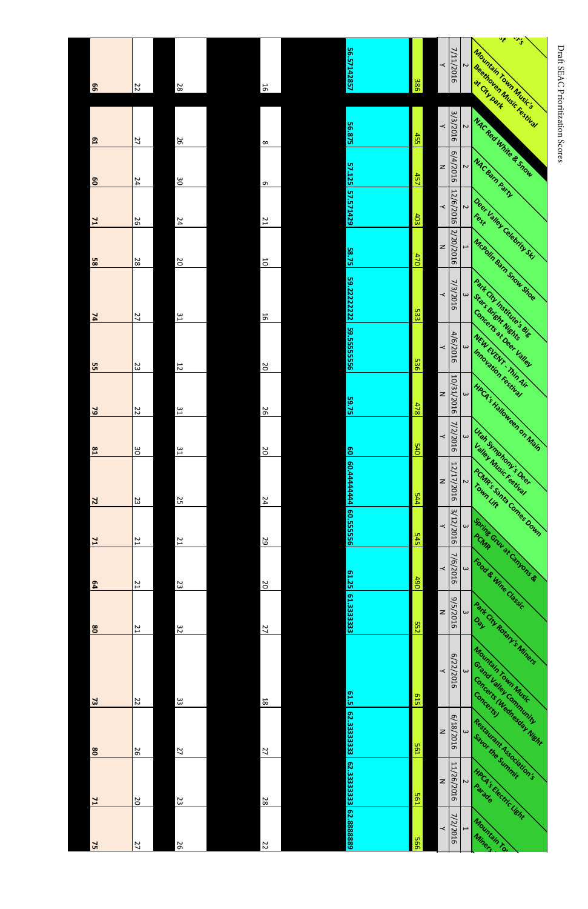| 99             | 22        | 82             | 16                | 56.57142857           | 386        | ≺              | 7/11/2016  | $\overline{\mathsf{c}}$  | रैं<br>$\ddot{\textbf{v}}$<br>Mountain Town Music's<br><b>Seethoven Music Festival</b> |
|----------------|-----------|----------------|-------------------|-----------------------|------------|----------------|------------|--------------------------|----------------------------------------------------------------------------------------|
| $\mathbf{51}$  | 27        | 97             | $\infty$          | 56.875                | 455        | $\prec$        | 3/3/2016   | $\sim$                   | <b>MACREO White &amp; Show</b>                                                         |
| 8              | 24        | $\infty$       | $\sigma$          | 57.125                | 457        | $\overline{z}$ | 6/4/2016   | $\sim$                   | <b>NAC Barn Party</b>                                                                  |
| $\mathbf{r}$   | 56        | 74             | $\overline{L}$    | 57.571429             | 403        | $\prec$        | 12/6/2016  | $\sim$                   | Deer Valley Celebrity Ski                                                              |
| 85             | 28        | $\overline{0}$ | 10                | 58.75                 | 470        | $\overline{z}$ | 2/20/2016  | $\overline{a}$           | McRolin Barn Snow Shoe                                                                 |
| 74             | 27        | 51             | 50                | 59.2222222            | <b>533</b> | $\prec$        | 7/3/2016   | $\omega$                 | Park City Institute's die<br>Stars Bright Nights                                       |
| Ţп<br>S        | 23        | $\frac{1}{2}$  | $\sim$<br>$\circ$ | 59.5555555<br>ை       | 536        | $\prec$        | 4/6/2016   | $\omega$                 | Concerts at Deer Valley<br>NEW EVENT Thin Air                                          |
| 62             | 22        | 51             | 56                | 59.75                 | 478        | $\geq$         | 10/31/2016 | $\boldsymbol{\omega}$    | Innovation restinal<br><b>HPCA's Halloween on Main</b>                                 |
| $^{52}$        | δg        | 51             | $\infty$          | $\mathbf{S}$          | <b>540</b> | $\prec$        | 7/2/2016   | $\omega$                 | Utah Symphony's Deer                                                                   |
| $\mathbf{z}$   | 23        | 52             | 74                | 60.4444444            | 544        | $\mathsf{z}$   | 12/17/2016 | $\sim$                   | Valley Music Festival<br><b>ACNIR's Santa Comes Down</b>                               |
| L <sub>L</sub> | 21        | 12             | 29                | 60.555556             | 545        | $\prec$        | 3/12/2016  | $\omega$                 |                                                                                        |
| <b>e4</b>      | 21        | 23             | $\overline{c}$    | 61.25                 | 1990       | $\prec$        | 7/6/2016   | $\boldsymbol{\omega}$    | Spring Grun at Campang &<br>Food & Wine Classic                                        |
| 80             | 21        | 32             | 77                | 61.3333333            | <b>552</b> | $\mathsf{z}$   | 9\5/2016   | $\omega$                 | Park City Rotary's Miners                                                              |
|                |           |                |                   |                       |            | $\prec$        | 6/22/2016  | $\omega$                 | Mountain Town Music                                                                    |
| 73             | <b>ZZ</b> | 33             | $\infty$          | 61.5                  | 615        |                |            |                          | Grand Valley Community<br>Concerts (Wednesday Night                                    |
| $\bf 08$       | 56        | 27             | 27                | 62.3333333            | 561        | $\mathsf{z}$   | 6/18/2016  | $\omega$                 | Restaurant Association's                                                               |
| 71             | <b>DZ</b> | 23             | 28                | 62.33333333 62.888889 | 561        | $\, \geq$      | 11/26/2016 | $\sim$                   | HpCA's Hectric Light                                                                   |
| 75             | 77        | 56             | 22                |                       | 995        | $\prec$        | 7/2/2016   | $\overline{\phantom{a}}$ | Mountain Tor                                                                           |
|                |           |                |                   |                       |            |                |            |                          |                                                                                        |

## Draft SEAC Prioritization Scores Draft SEAC Prioritization Scores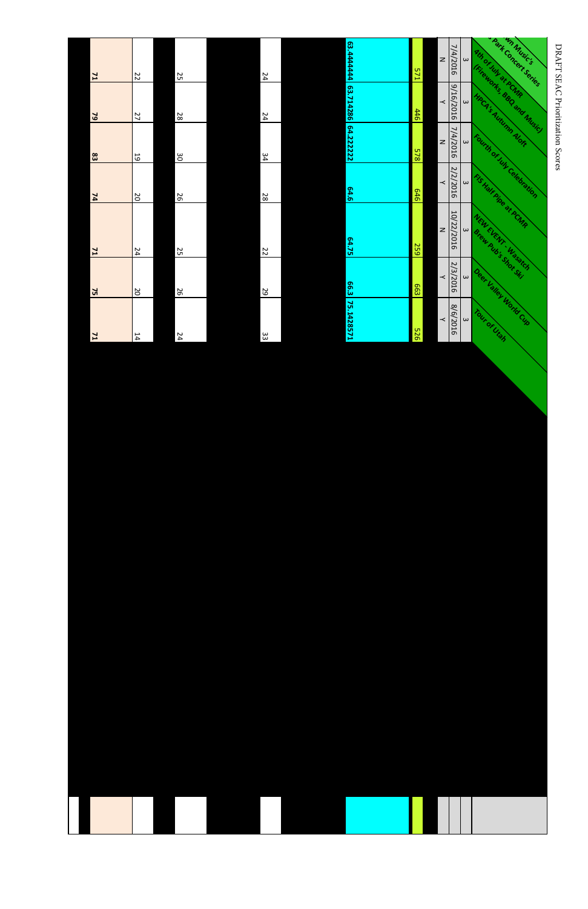| $\omega$<br>$\omega$ | Park Concert Series<br><b>Ath of July at PCMR</b><br><b>Chicavonts BBQ and Music)</b> |
|----------------------|---------------------------------------------------------------------------------------|
|                      |                                                                                       |
|                      |                                                                                       |
| $\omega$             | HPCA's Autumn Alors                                                                   |
| $\omega$             | Fourth of July Celebration<br>FISHelf Pipe at PCMR                                    |
| $\omega$             | NEW EVENT . Wasakch<br><b>Brew Aubis Shot Skill</b>                                   |
| $\omega$             | Deer Valley World Cyp                                                                 |
| $\omega$             | Tour of Utah                                                                          |
|                      |                                                                                       |

## DRAFT SEAC Prioritization Scores DRAFT SEAC Prioritization Scores

| $\mathbf{z}$               | 22             | 25       | 74  |
|----------------------------|----------------|----------|-----|
| 62                         | 27             | 82       | 74  |
| $\boldsymbol{\mathsf{33}}$ | 59             | $\infty$ | 34  |
| 74                         | $\overline{0}$ | 56       | 82  |
| $\mathbf{r}$               | 74             | 25       | 22  |
| 75                         | <b>SO</b>      | 92       | 29  |
| $\mathbf{z}$               | 14             | 54       | င္ယ |